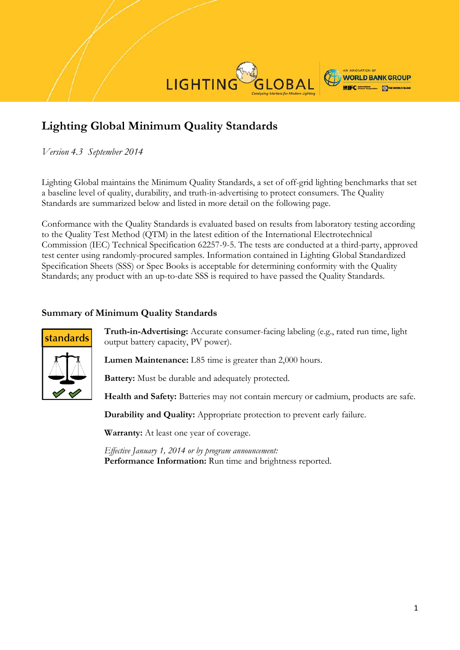

# **Lighting Global Minimum Quality Standards**

*Version 4.3 September 2014*

Lighting Global maintains the Minimum Quality Standards, a set of off-grid lighting benchmarks that set a baseline level of quality, durability, and truth-in-advertising to protect consumers. The Quality Standards are summarized below and listed in more detail on the following page.

Conformance with the Quality Standards is evaluated based on results from laboratory testing according to the Quality Test Method (QTM) in the latest edition of the International Electrotechnical Commission (IEC) Technical Specification 62257-9-5. The tests are conducted at a third-party, approved test center using randomly-procured samples. Information contained in Lighting Global Standardized Specification Sheets (SSS) or Spec Books is acceptable for determining conformity with the Quality Standards; any product with an up-to-date SSS is required to have passed the Quality Standards.

## **Summary of Minimum Quality Standards**



**Truth-in-Advertising:** Accurate consumer-facing labeling (e.g., rated run time, light output battery capacity, PV power).

**Lumen Maintenance:** L85 time is greater than 2,000 hours.

**Battery:** Must be durable and adequately protected.

**Health and Safety:** Batteries may not contain mercury or cadmium, products are safe.

**Durability and Quality:** Appropriate protection to prevent early failure.

**Warranty:** At least one year of coverage.

*Effective January 1, 2014 or by program announcement:* **Performance Information:** Run time and brightness reported.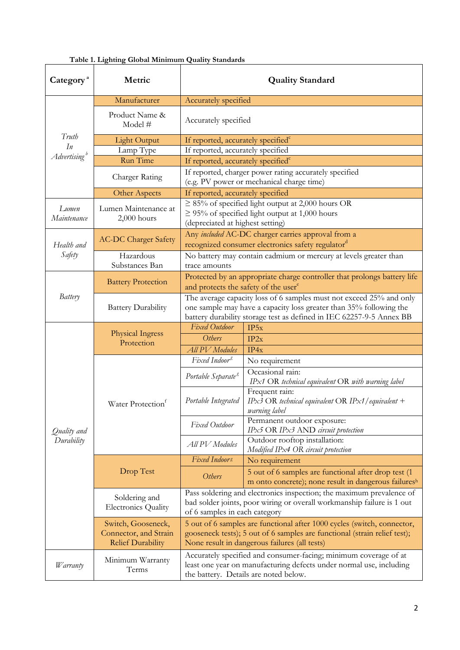| Category <sup>a</sup>     | Metric                                                                  | <b>Quality Standard</b>                                                                                                                                                                                           |                                                                                                               |  |
|---------------------------|-------------------------------------------------------------------------|-------------------------------------------------------------------------------------------------------------------------------------------------------------------------------------------------------------------|---------------------------------------------------------------------------------------------------------------|--|
|                           | Manufacturer                                                            | Accurately specified                                                                                                                                                                                              |                                                                                                               |  |
|                           | Product Name &<br>Model #                                               | Accurately specified                                                                                                                                                                                              |                                                                                                               |  |
| Truth                     | <b>Light Output</b>                                                     | If reported, accurately specified <sup>c</sup>                                                                                                                                                                    |                                                                                                               |  |
| In                        | Lamp Type                                                               | If reported, accurately specified                                                                                                                                                                                 |                                                                                                               |  |
| Advertising <sup>b</sup>  | Run Time                                                                | If reported, accurately specified <sup>c</sup>                                                                                                                                                                    |                                                                                                               |  |
|                           | Charger Rating                                                          | If reported, charger power rating accurately specified<br>(e.g. PV power or mechanical charge time)                                                                                                               |                                                                                                               |  |
|                           | Other Aspects                                                           | If reported, accurately specified                                                                                                                                                                                 |                                                                                                               |  |
| Lumen<br>Maintenance      | Lumen Maintenance at<br>$2,000$ hours                                   | $\geq$ 85% of specified light output at 2,000 hours OR<br>$\geq$ 95% of specified light output at 1,000 hours<br>(depreciated at highest setting)                                                                 |                                                                                                               |  |
| Health and<br>Safety      | <b>AC-DC Charger Safety</b>                                             | Any included AC-DC charger carries approval from a<br>recognized consumer electronics safety regulator <sup>d</sup>                                                                                               |                                                                                                               |  |
|                           | Hazardous<br>Substances Ban                                             | No battery may contain cadmium or mercury at levels greater than<br>trace amounts                                                                                                                                 |                                                                                                               |  |
| Battery                   | <b>Battery Protection</b>                                               | Protected by an appropriate charge controller that prolongs battery life<br>and protects the safety of the user <sup>e</sup>                                                                                      |                                                                                                               |  |
|                           | <b>Battery Durability</b>                                               | The average capacity loss of 6 samples must not exceed 25% and only<br>one sample may have a capacity loss greater than 35% following the<br>battery durability storage test as defined in IEC 62257-9-5 Annex BB |                                                                                                               |  |
|                           | <b>Physical Ingress</b><br>Protection                                   | <b>Fixed Outdoor</b>                                                                                                                                                                                              | IP5x                                                                                                          |  |
|                           |                                                                         | Others                                                                                                                                                                                                            | IP2x                                                                                                          |  |
|                           |                                                                         | <b>All PV</b> Modules                                                                                                                                                                                             | IP4x                                                                                                          |  |
|                           |                                                                         | Fixed Indoor <sup>g</sup>                                                                                                                                                                                         | No requirement                                                                                                |  |
| Quality and<br>Durability | Water Protection <sup>f</sup>                                           | Portable Separate <sup>g</sup>                                                                                                                                                                                    | Occasional rain:<br>IPx1 OR technical equivalent OR with warning label                                        |  |
|                           |                                                                         | Portable Integrated                                                                                                                                                                                               | Frequent rain:<br>IPx3 OR technical equivalent OR IPx1/equivalent +<br>warning label                          |  |
|                           |                                                                         | Fixed Outdoor                                                                                                                                                                                                     | Permanent outdoor exposure:<br>IPx5 OR IPx3 AND circuit protection                                            |  |
|                           |                                                                         | All PV Modules                                                                                                                                                                                                    | Outdoor rooftop installation:<br>Modified IPx4 OR circuit protection                                          |  |
|                           | Drop Test                                                               | Fixed Indoors                                                                                                                                                                                                     | No requirement                                                                                                |  |
|                           |                                                                         | <b>Others</b>                                                                                                                                                                                                     | 5 out of 6 samples are functional after drop test (1)<br>m onto concrete); none result in dangerous failuresh |  |
|                           | Soldering and<br><b>Electronics Quality</b>                             | Pass soldering and electronics inspection; the maximum prevalence of<br>bad solder joints, poor wiring or overall workmanship failure is 1 out<br>of 6 samples in each category                                   |                                                                                                               |  |
|                           | Switch, Gooseneck,<br>Connector, and Strain<br><b>Relief Durability</b> | 5 out of 6 samples are functional after 1000 cycles (switch, connector,<br>gooseneck tests); 5 out of 6 samples are functional (strain relief test);<br>None result in dangerous failures (all tests)             |                                                                                                               |  |
| <i>W</i> arranty          | Minimum Warranty<br>Terms                                               | Accurately specified and consumer-facing; minimum coverage of at<br>least one year on manufacturing defects under normal use, including<br>the battery. Details are noted below.                                  |                                                                                                               |  |

## **Table 1. Lighting Global Minimum Quality Standards**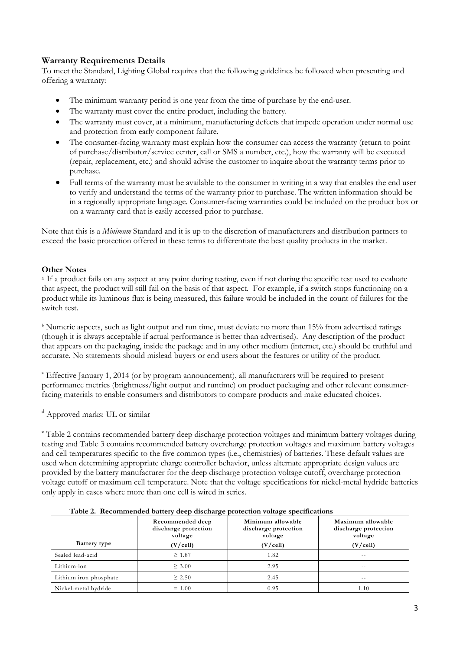## **Warranty Requirements Details**

To meet the Standard, Lighting Global requires that the following guidelines be followed when presenting and offering a warranty:

- The minimum warranty period is one year from the time of purchase by the end-user.
- The warranty must cover the entire product, including the battery.
- The warranty must cover, at a minimum, manufacturing defects that impede operation under normal use and protection from early component failure.
- The consumer-facing warranty must explain how the consumer can access the warranty (return to point of purchase/distributor/service center, call or SMS a number, etc.), how the warranty will be executed (repair, replacement, etc.) and should advise the customer to inquire about the warranty terms prior to purchase.
- Full terms of the warranty must be available to the consumer in writing in a way that enables the end user to verify and understand the terms of the warranty prior to purchase. The written information should be in a regionally appropriate language. Consumer-facing warranties could be included on the product box or on a warranty card that is easily accessed prior to purchase.

Note that this is a *Minimum* Standard and it is up to the discretion of manufacturers and distribution partners to exceed the basic protection offered in these terms to differentiate the best quality products in the market.

## **Other Notes**

<sup>a</sup> If a product fails on any aspect at any point during testing, even if not during the specific test used to evaluate that aspect, the product will still fail on the basis of that aspect. For example, if a switch stops functioning on a product while its luminous flux is being measured, this failure would be included in the count of failures for the switch test.

<sup>b</sup> Numeric aspects, such as light output and run time, must deviate no more than 15% from advertised ratings (though it is always acceptable if actual performance is better than advertised). Any description of the product that appears on the packaging, inside the package and in any other medium (internet, etc.) should be truthful and accurate. No statements should mislead buyers or end users about the features or utility of the product.

 $\epsilon$  Effective January 1, 2014 (or by program announcement), all manufacturers will be required to present performance metrics (brightness/light output and runtime) on product packaging and other relevant consumerfacing materials to enable consumers and distributors to compare products and make educated choices.

<sup>d</sup> Approved marks: UL or similar

<sup>e</sup> Table 2 contains recommended battery deep discharge protection voltages and minimum battery voltages during testing and Table 3 contains recommended battery overcharge protection voltages and maximum battery voltages and cell temperatures specific to the five common types (i.e., chemistries) of batteries. These default values are used when determining appropriate charge controller behavior, unless alternate appropriate design values are provided by the battery manufacturer for the deep discharge protection voltage cutoff, overcharge protection voltage cutoff or maximum cell temperature. Note that the voltage specifications for nickel-metal hydride batteries only apply in cases where more than one cell is wired in series.

| Table 2. Recommended battery deep discharge protection voltage specifications |                                                                          |                                                                  |                                                                  |  |  |  |
|-------------------------------------------------------------------------------|--------------------------------------------------------------------------|------------------------------------------------------------------|------------------------------------------------------------------|--|--|--|
| Battery type                                                                  | Recommended deep<br>discharge protection<br>voltage<br>$(V/\text{cell})$ | Minimum allowable<br>discharge protection<br>voltage<br>(V/cell) | Maximum allowable<br>discharge protection<br>voltage<br>(V/cell) |  |  |  |
|                                                                               |                                                                          |                                                                  |                                                                  |  |  |  |
| Sealed lead-acid                                                              | $\geq 1.87$                                                              | 1.82                                                             | --                                                               |  |  |  |
| Lithium-ion                                                                   | $\geq 3.00$                                                              | 2.95                                                             | $- -$                                                            |  |  |  |
| Lithium iron phosphate                                                        | $\geq 2.50$                                                              | 2.45                                                             | $ -$                                                             |  |  |  |
| Nickel-metal hydride                                                          | $= 1.00$                                                                 | 0.95                                                             | 1.10                                                             |  |  |  |

## **Table 2. Recommended battery deep discharge protection voltage specifications**